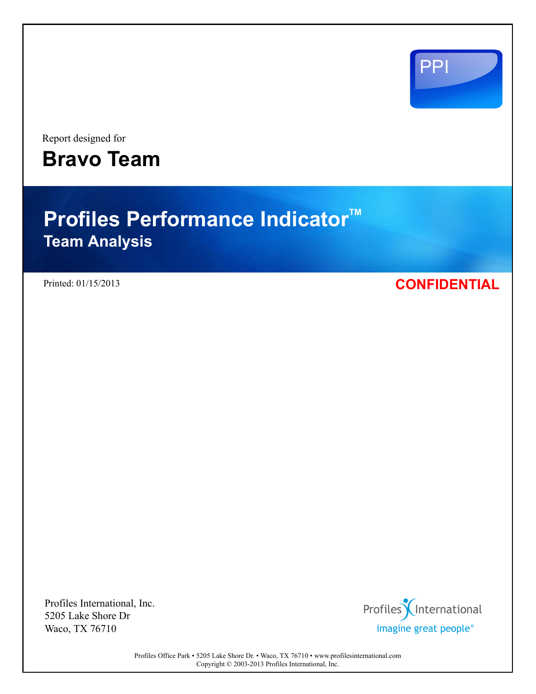

Report designed for **Bravo Team**

# **Profiles Performance Indicator<sup>™</sup> Team Analysis**

# Printed: 01/15/2013 **CONFIDENTIAL**

Profiles International, Inc. 5205 Lake Shore Dr Waco, TX 76710



Profiles Office Park • 5205 Lake Shore Dr. • Waco, TX 76710 • www.profilesinternational.com Copyright © 2003-2013 Profiles International, Inc.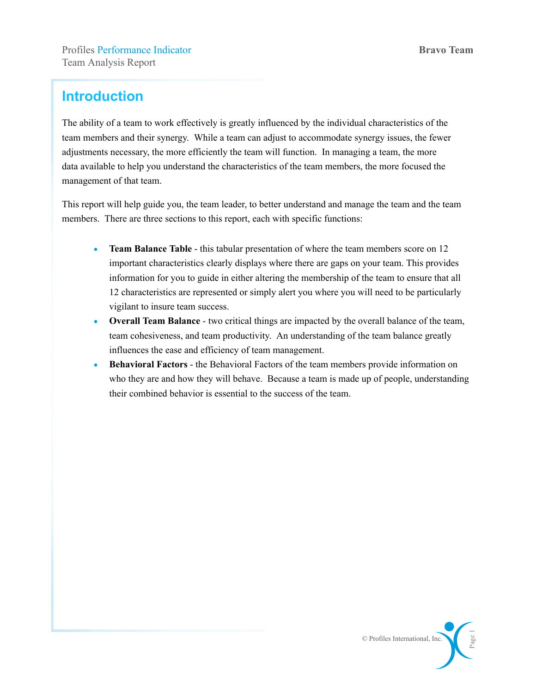# **Introduction**

The ability of a team to work effectively is greatly influenced by the individual characteristics of the team members and their synergy. While a team can adjust to accommodate synergy issues, the fewer adjustments necessary, the more efficiently the team will function. In managing a team, the more data available to help you understand the characteristics of the team members, the more focused the management of that team.

This report will help guide you, the team leader, to better understand and manage the team and the team members. There are three sections to this report, each with specific functions:

- **Team Balance Table** this tabular presentation of where the team members score on 12 important characteristics clearly displays where there are gaps on your team. This provides information for you to guide in either altering the membership of the team to ensure that all 12 characteristics are represented or simply alert you where you will need to be particularly vigilant to insure team success.
- **Overall Team Balance** two critical things are impacted by the overall balance of the team, team cohesiveness, and team productivity. An understanding of the team balance greatly influences the ease and efficiency of team management.
- **Behavioral Factors** the Behavioral Factors of the team members provide information on who they are and how they will behave. Because a team is made up of people, understanding their combined behavior is essential to the success of the team.

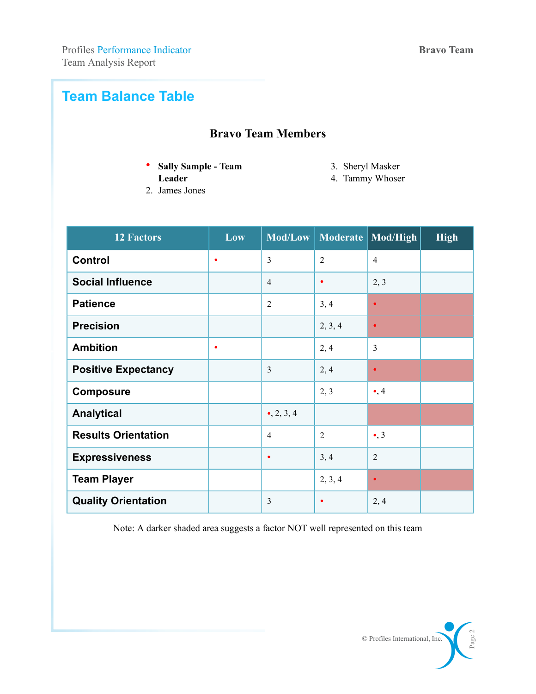# **Team Balance Table**

# **Bravo Team Members**

• **Sally Sample - Team**

3. Sheryl Masker

- **Leader**
- 2. James Jones

4. Tammy Whoser

| <b>12 Factors</b>          | Low       |                     | Mod/Low   Moderate | Mod/High       | <b>High</b> |
|----------------------------|-----------|---------------------|--------------------|----------------|-------------|
| <b>Control</b>             | $\bullet$ | $\overline{3}$      | $\overline{2}$     | $\overline{4}$ |             |
| <b>Social Influence</b>    |           | $\overline{4}$      | $\bullet$          | 2, 3           |             |
| <b>Patience</b>            |           | $\overline{2}$      | 3, 4               | $\bullet$      |             |
| <b>Precision</b>           |           |                     | 2, 3, 4            | $\bullet$      |             |
| <b>Ambition</b>            | $\bullet$ |                     | 2, 4               | 3              |             |
| <b>Positive Expectancy</b> |           | $\overline{3}$      | 2, 4               | $\bullet$      |             |
| <b>Composure</b>           |           |                     | 2, 3               | $\bullet$ , 4  |             |
| <b>Analytical</b>          |           | $\bullet$ , 2, 3, 4 |                    |                |             |
| <b>Results Orientation</b> |           | $\overline{4}$      | $\overline{2}$     | $\bullet$ , 3  |             |
| <b>Expressiveness</b>      |           | $\bullet$           | 3, 4               | $\overline{2}$ |             |
| <b>Team Player</b>         |           |                     | 2, 3, 4            | $\bullet$      |             |
| <b>Quality Orientation</b> |           | $\overline{3}$      |                    | 2, 4           |             |

Note: A darker shaded area suggests a factor NOT well represented on this team

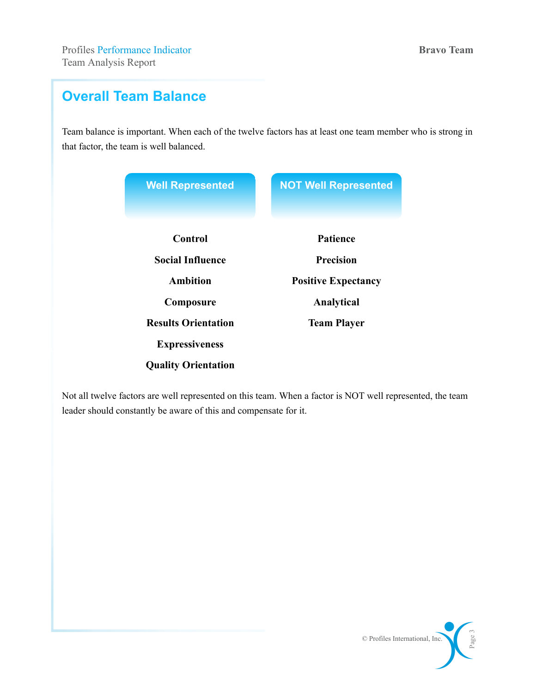# **Overall Team Balance**

Team balance is important. When each of the twelve factors has at least one team member who is strong in that factor, the team is well balanced.

| <b>Well Represented</b>    | <b>NOT Well Represented</b> |
|----------------------------|-----------------------------|
| Control                    | Patience                    |
| <b>Social Influence</b>    | <b>Precision</b>            |
| Ambition                   | <b>Positive Expectancy</b>  |
| Composure                  | Analytical                  |
| <b>Results Orientation</b> | <b>Team Player</b>          |
| <b>Expressiveness</b>      |                             |
| <b>Quality Orientation</b> |                             |

Not all twelve factors are well represented on this team. When a factor is NOT well represented, the team leader should constantly be aware of this and compensate for it.

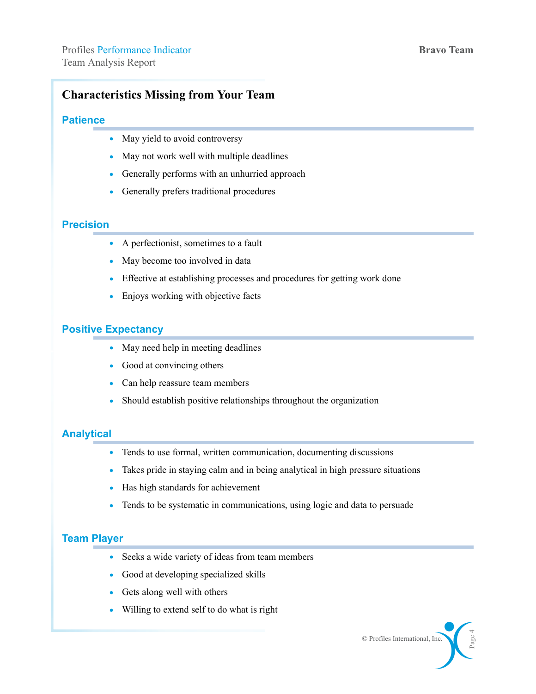# **Characteristics Missing from Your Team**

# **Patience**

- May yield to avoid controversy
- May not work well with multiple deadlines
- Generally performs with an unhurried approach
- Generally prefers traditional procedures

# **Precision**

- A perfectionist, sometimes to a fault
- May become too involved in data
- Effective at establishing processes and procedures for getting work done
- Enjoys working with objective facts

# **Positive Expectancy**

- May need help in meeting deadlines
- Good at convincing others
- Can help reassure team members
- Should establish positive relationships throughout the organization

# **Analytical**

- Tends to use formal, written communication, documenting discussions
- Takes pride in staying calm and in being analytical in high pressure situations
- Has high standards for achievement
- Tends to be systematic in communications, using logic and data to persuade

# **Team Player**

- Seeks a wide variety of ideas from team members
- Good at developing specialized skills
- Gets along well with others
- Willing to extend self to do what is right

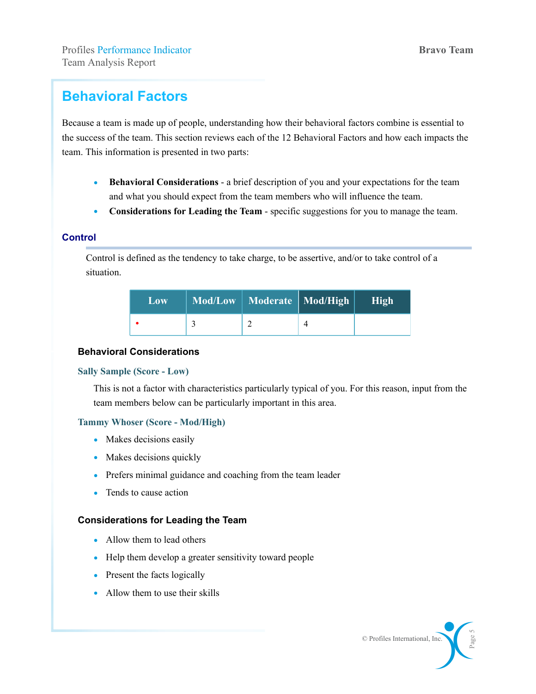# **Behavioral Factors**

Because a team is made up of people, understanding how their behavioral factors combine is essential to the success of the team. This section reviews each of the 12 Behavioral Factors and how each impacts the team. This information is presented in two parts:

- **Behavioral Considerations** a brief description of you and your expectations for the team and what you should expect from the team members who will influence the team.
- **Considerations for Leading the Team** specific suggestions for you to manage the team.

# **Control**

Control is defined as the tendency to take charge, to be assertive, and/or to take control of a situation.

| Low | Mod/Low   Moderate   Mod/High   High |  |
|-----|--------------------------------------|--|
|     |                                      |  |

#### **Behavioral Considerations**

#### **Sally Sample (Score - Low)**

This is not a factor with characteristics particularly typical of you. For this reason, input from the team members below can be particularly important in this area.

#### **Tammy Whoser (Score - Mod/High)**

- Makes decisions easily
- Makes decisions quickly
- Prefers minimal guidance and coaching from the team leader
- Tends to cause action

- Allow them to lead others
- Help them develop a greater sensitivity toward people
- Present the facts logically
- Allow them to use their skills

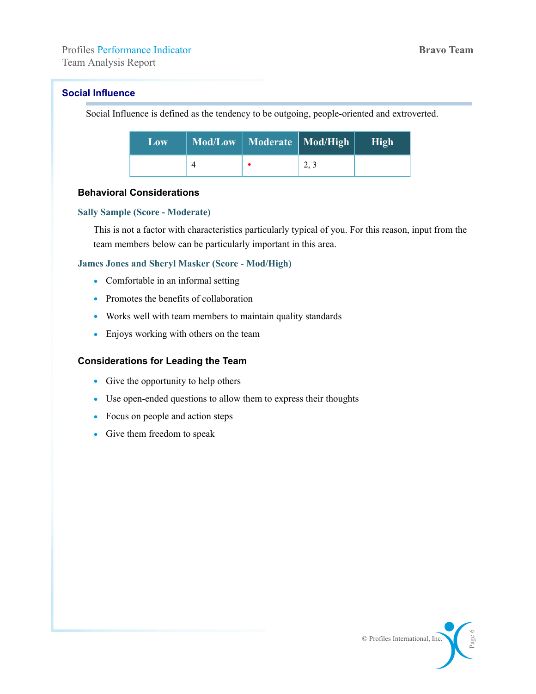#### **Social Influence**

Social Influence is defined as the tendency to be outgoing, people-oriented and extroverted.

| Low | Mod/Low   Moderate   Mod/High | High |
|-----|-------------------------------|------|
|     |                               |      |

# **Behavioral Considerations**

#### **Sally Sample (Score - Moderate)**

This is not a factor with characteristics particularly typical of you. For this reason, input from the team members below can be particularly important in this area.

#### **James Jones and Sheryl Masker (Score - Mod/High)**

- Comfortable in an informal setting
- Promotes the benefits of collaboration
- Works well with team members to maintain quality standards
- Enjoys working with others on the team

- Give the opportunity to help others
- Use open-ended questions to allow them to express their thoughts
- Focus on people and action steps
- Give them freedom to speak

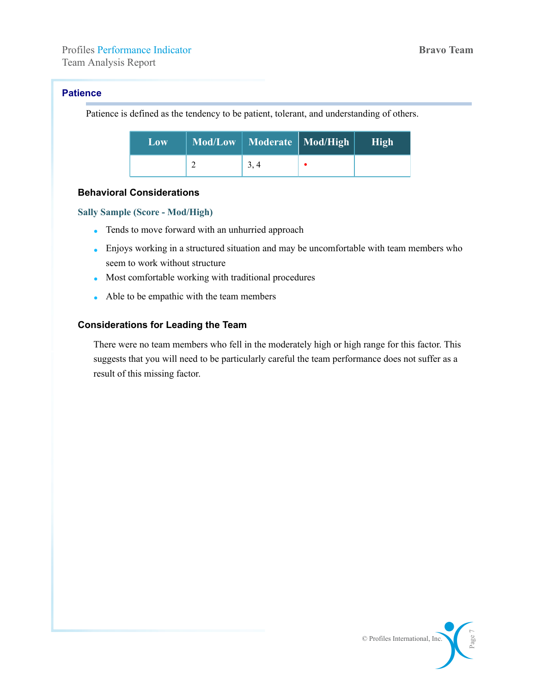### **Patience**

Patience is defined as the tendency to be patient, tolerant, and understanding of others.

| Low | Mod/Low   Moderate   Mod/High | High |
|-----|-------------------------------|------|
|     |                               |      |

# **Behavioral Considerations**

#### **Sally Sample (Score - Mod/High)**

- Tends to move forward with an unhurried approach
- Enjoys working in a structured situation and may be uncomfortable with team members who seem to work without structure
- Most comfortable working with traditional procedures
- Able to be empathic with the team members

# **Considerations for Leading the Team**

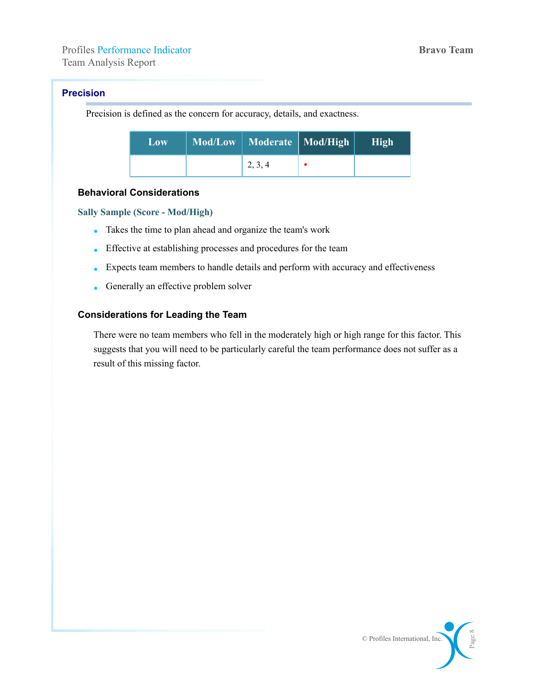# **Precision**

Precision is defined as the concern for accuracy, details, and exactness.

| Low | Mod/Low   Moderate   Mod/High | High |
|-----|-------------------------------|------|
|     | 2, 3, 4                       |      |

# **Behavioral Considerations**

#### **Sally Sample (Score - Mod/High)**

- Takes the time to plan ahead and organize the team's work
- Effective at establishing processes and procedures for the team
- Expects team members to handle details and perform with accuracy and effectiveness
- Generally an effective problem solver

#### **Considerations for Leading the Team**

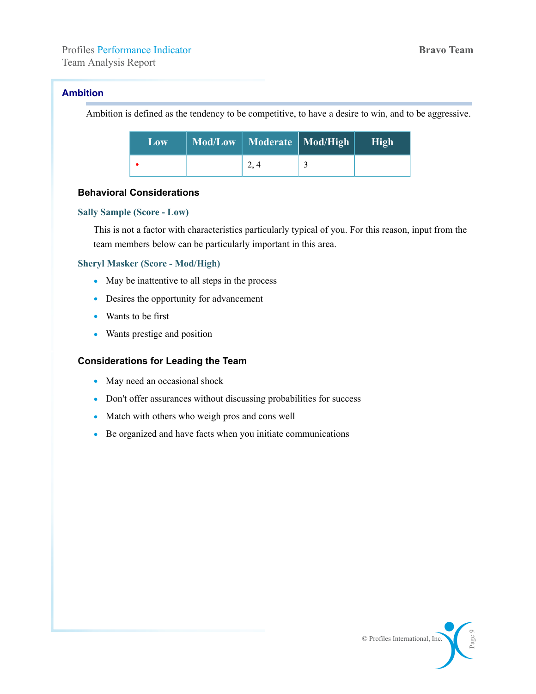### **Ambition**

Ambition is defined as the tendency to be competitive, to have a desire to win, and to be aggressive.

| Low | Mod/Low   Moderate   Mod/High | <b>High</b> |
|-----|-------------------------------|-------------|
|     |                               |             |

#### **Behavioral Considerations**

#### **Sally Sample (Score - Low)**

This is not a factor with characteristics particularly typical of you. For this reason, input from the team members below can be particularly important in this area.

#### **Sheryl Masker (Score - Mod/High)**

- May be inattentive to all steps in the process
- Desires the opportunity for advancement
- Wants to be first
- Wants prestige and position

- May need an occasional shock
- Don't offer assurances without discussing probabilities for success
- Match with others who weigh pros and cons well
- Be organized and have facts when you initiate communications

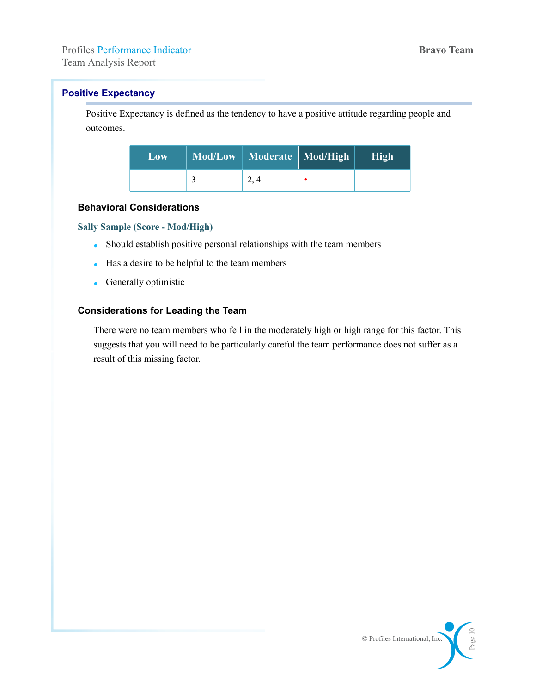# **Positive Expectancy**

Positive Expectancy is defined as the tendency to have a positive attitude regarding people and outcomes.

| $\mathbf{Low}$ | Mod/Low   Moderate   Mod/High | High |
|----------------|-------------------------------|------|
|                |                               |      |

#### **Behavioral Considerations**

#### **Sally Sample (Score - Mod/High)**

- Should establish positive personal relationships with the team members
- Has a desire to be helpful to the team members
- Generally optimistic

# **Considerations for Leading the Team**

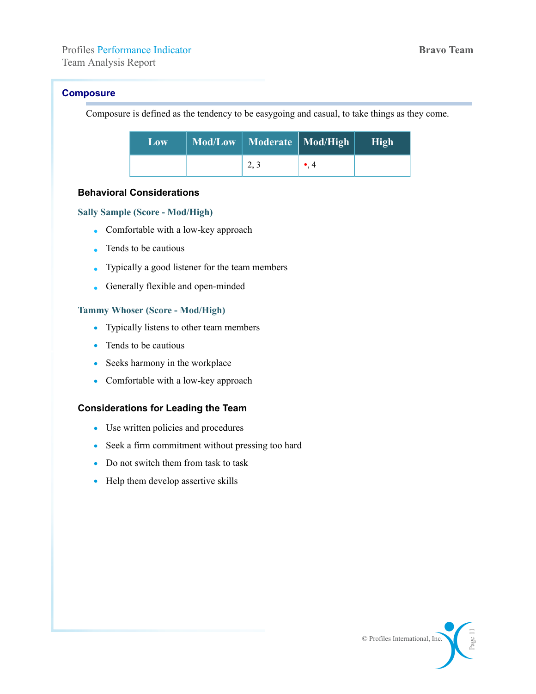Team Analysis Report

# **Composure**

Composure is defined as the tendency to be easygoing and casual, to take things as they come.

| Low | Mod/Low   Moderate   Mod/High |             | High |
|-----|-------------------------------|-------------|------|
|     | 2.3                           | $\bullet$ 4 |      |

# **Behavioral Considerations**

#### **Sally Sample (Score - Mod/High)**

- Comfortable with a low-key approach
- Tends to be cautious
- Typically a good listener for the team members
- Generally flexible and open-minded

#### **Tammy Whoser (Score - Mod/High)**

- Typically listens to other team members
- Tends to be cautious
- Seeks harmony in the workplace
- Comfortable with a low-key approach

- Use written policies and procedures
- Seek a firm commitment without pressing too hard
- Do not switch them from task to task
- Help them develop assertive skills

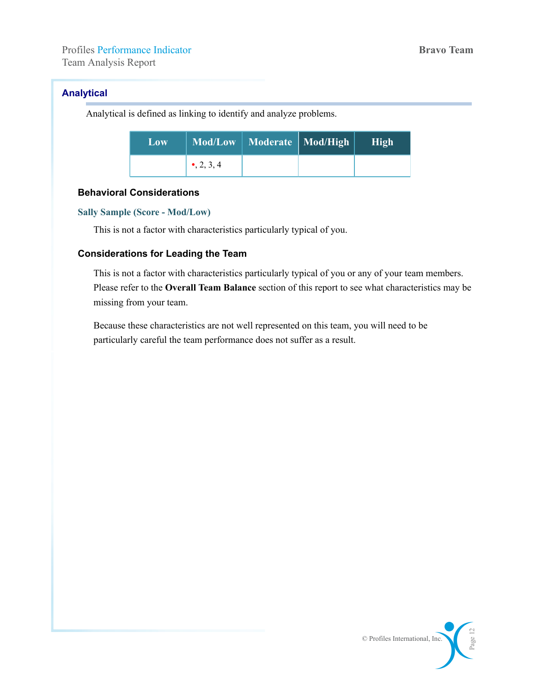# **Analytical**

Analytical is defined as linking to identify and analyze problems.

| Low |             | Mod/Low   Moderate   Mod/High | High |
|-----|-------------|-------------------------------|------|
|     | • $2, 3, 4$ |                               |      |

#### **Behavioral Considerations**

#### **Sally Sample (Score - Mod/Low)**

This is not a factor with characteristics particularly typical of you.

# **Considerations for Leading the Team**

This is not a factor with characteristics particularly typical of you or any of your team members. Please refer to the **Overall Team Balance** section of this report to see what characteristics may be missing from your team.

Because these characteristics are not well represented on this team, you will need to be particularly careful the team performance does not suffer as a result.

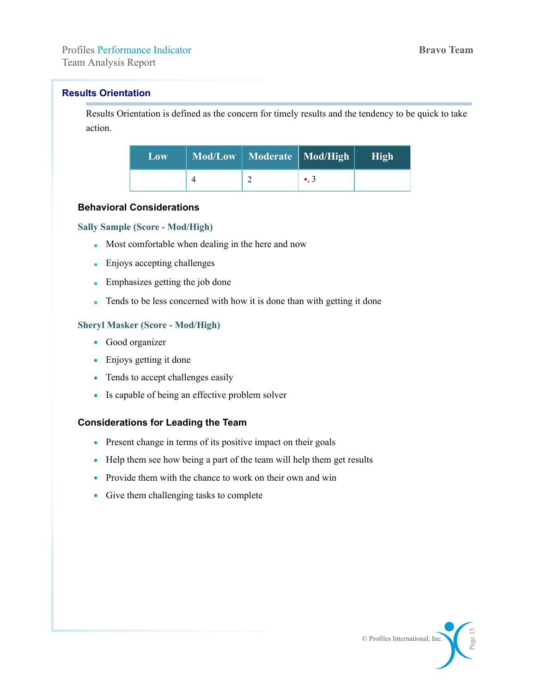# **Results Orientation**

Results Orientation is defined as the concern for timely results and the tendency to be quick to take action.

| Low. | Mod/Low   Moderate   Mod/High |             | High |
|------|-------------------------------|-------------|------|
|      |                               | $\bullet$ 3 |      |

#### **Behavioral Considerations**

#### **Sally Sample (Score - Mod/High)**

- Most comfortable when dealing in the here and now
- Enjoys accepting challenges
- Emphasizes getting the job done
- Tends to be less concerned with how it is done than with getting it done

#### **Sheryl Masker (Score - Mod/High)**

- Good organizer
- Enjoys getting it done
- Tends to accept challenges easily
- Is capable of being an effective problem solver

- Present change in terms of its positive impact on their goals
- Help them see how being a part of the team will help them get results
- Provide them with the chance to work on their own and win
- Give them challenging tasks to complete

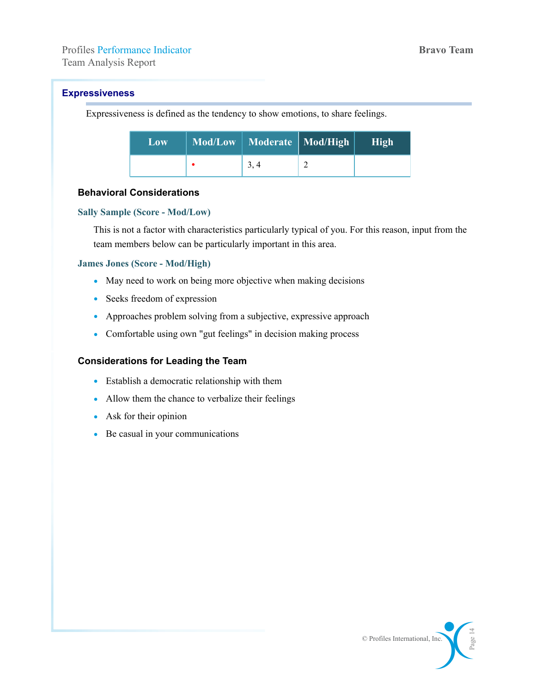Team Analysis Report

# **Expressiveness**

Expressiveness is defined as the tendency to show emotions, to share feelings.

| Low | Mod/Low   Moderate   Mod/High | High |
|-----|-------------------------------|------|
|     | 3, 4                          |      |

# **Behavioral Considerations**

#### **Sally Sample (Score - Mod/Low)**

This is not a factor with characteristics particularly typical of you. For this reason, input from the team members below can be particularly important in this area.

#### **James Jones (Score - Mod/High)**

- May need to work on being more objective when making decisions
- Seeks freedom of expression
- Approaches problem solving from a subjective, expressive approach
- Comfortable using own "gut feelings" in decision making process

- Establish a democratic relationship with them
- Allow them the chance to verbalize their feelings
- Ask for their opinion
- Be casual in your communications

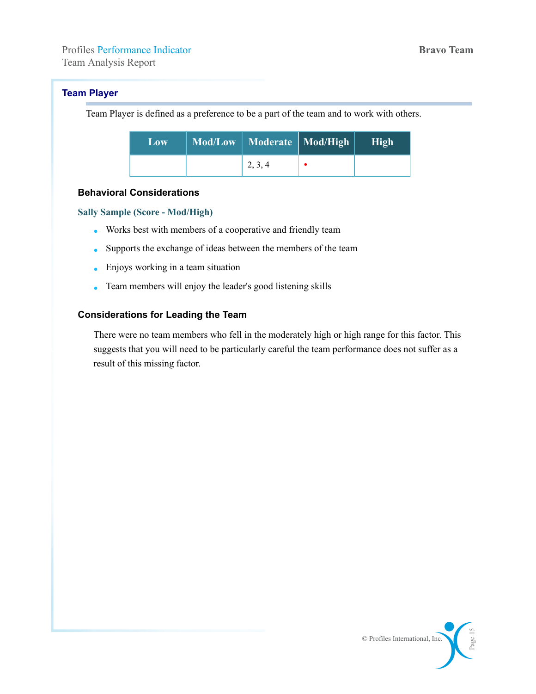# **Team Player**

Team Player is defined as a preference to be a part of the team and to work with others.

| Low | Mod/Low   Moderate   Mod/High | High |
|-----|-------------------------------|------|
|     | 2, 3, 4                       |      |

#### **Behavioral Considerations**

#### **Sally Sample (Score - Mod/High)**

- Works best with members of a cooperative and friendly team
- Supports the exchange of ideas between the members of the team
- Enjoys working in a team situation
- Team members will enjoy the leader's good listening skills

#### **Considerations for Leading the Team**